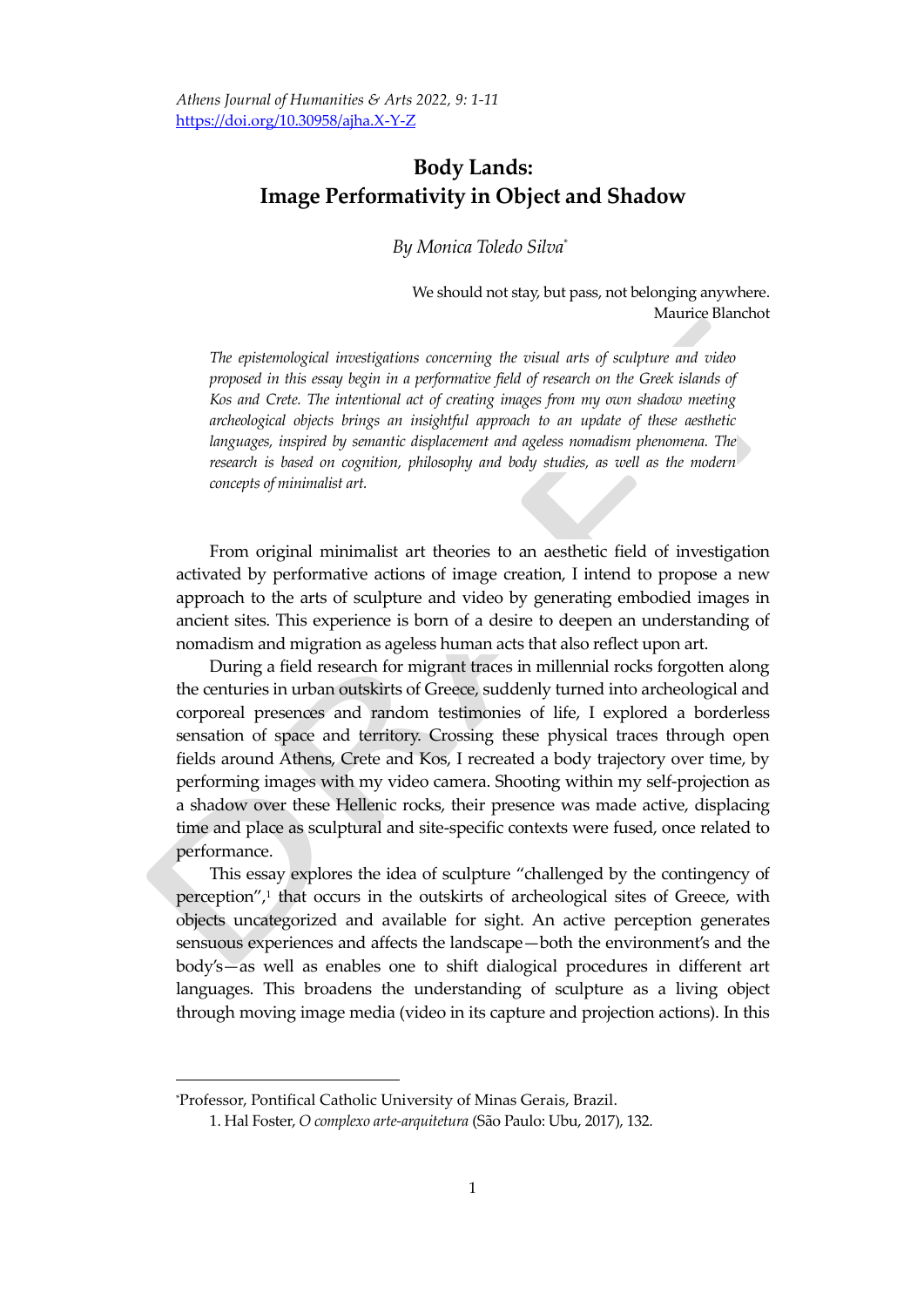# **Body Lands: Image Performativity in Object and Shadow**

*By Monica Toledo Silva\**

We should not stay, but pass, not belonging anywhere. Maurice Blanchot

*The epistemological investigations concerning the visual arts of sculpture and video proposed in this essay begin in a performative field of research on the Greek islands of Kos and Crete. The intentional act of creating images from my own shadow meeting archeological objects brings an insightful approach to an update of these aesthetic languages, inspired by semantic displacement and ageless nomadism phenomena. The research is based on cognition, philosophy and body studies, as well as the modern concepts of minimalist art.* 

From original minimalist art theories to an aesthetic field of investigation activated by performative actions of image creation, I intend to propose a new approach to the arts of sculpture and video by generating embodied images in ancient sites. This experience is born of a desire to deepen an understanding of nomadism and migration as ageless human acts that also reflect upon art.

During a field research for migrant traces in millennial rocks forgotten along the centuries in urban outskirts of Greece, suddenly turned into archeological and corporeal presences and random testimonies of life, I explored a borderless sensation of space and territory. Crossing these physical traces through open fields around Athens, Crete and Kos, I recreated a body trajectory over time, by performing images with my video camera. Shooting within my self-projection as a shadow over these Hellenic rocks, their presence was made active, displacing time and place as sculptural and site-specific contexts were fused, once related to performance.

This essay explores the idea of sculpture "challenged by the contingency of perception", 1 that occurs in the outskirts of archeological sites of Greece, with objects uncategorized and available for sight. An active perception generates sensuous experiences and affects the landscape—both the environment's and the body's—as well as enables one to shift dialogical procedures in different art languages. This broadens the understanding of sculpture as a living object through moving image media (video in its capture and projection actions). In this

<sup>\*</sup>Professor, Pontifical Catholic University of Minas Gerais, Brazil.

<sup>1.</sup> Hal Foster, *O complexo arte-arquitetura* (São Paulo: Ubu, 2017), 132.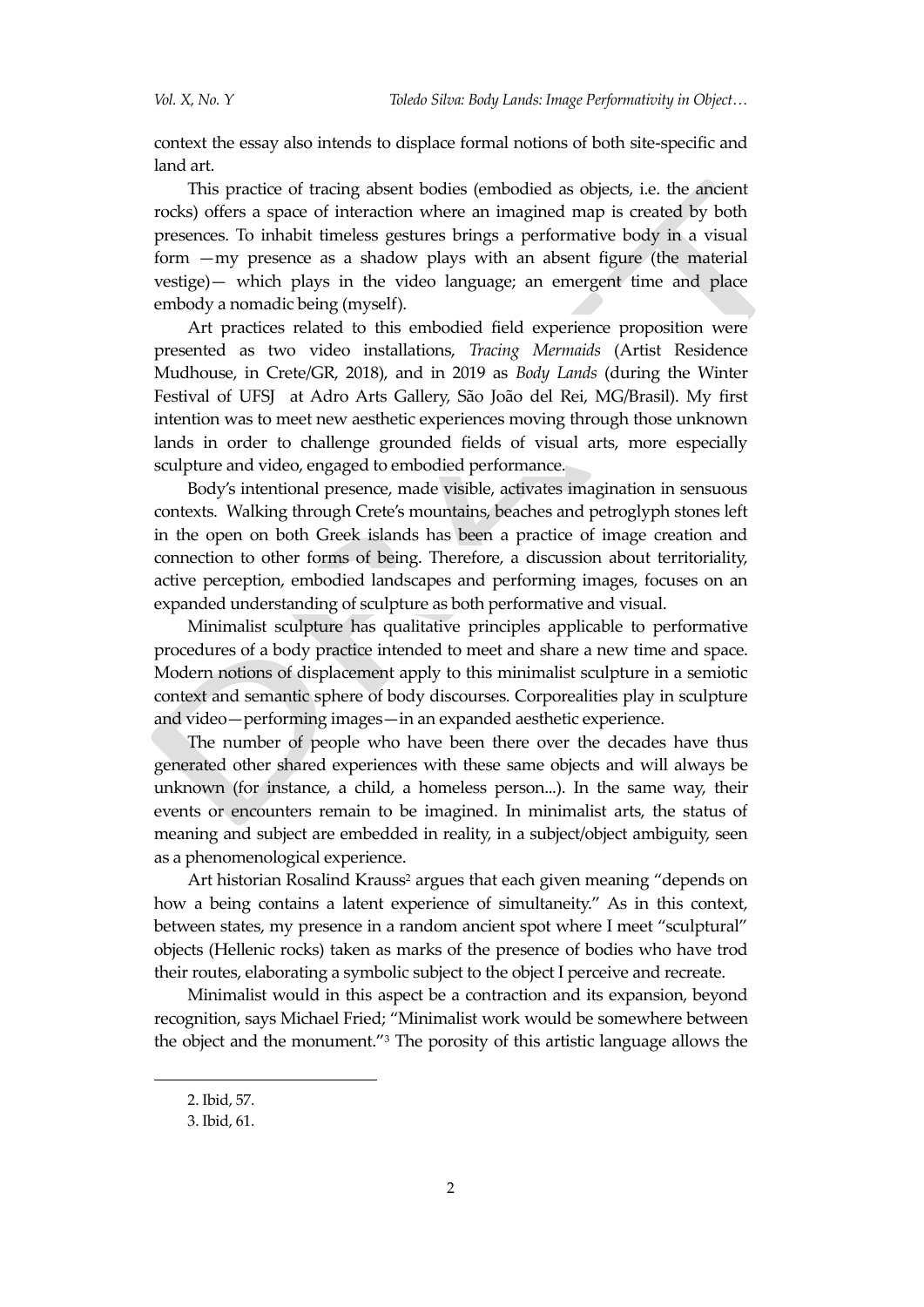context the essay also intends to displace formal notions of both site-specific and land art.

This practice of tracing absent bodies (embodied as objects, i.e. the ancient rocks) offers a space of interaction where an imagined map is created by both presences. To inhabit timeless gestures brings a performative body in a visual form —my presence as a shadow plays with an absent figure (the material vestige)— which plays in the video language; an emergent time and place embody a nomadic being (myself).

Art practices related to this embodied field experience proposition were presented as two video installations, *Tracing Mermaids* (Artist Residence Mudhouse, in Crete/GR, 2018), and in 2019 as *Body Lands* (during the Winter Festival of UFSJ at Adro Arts Gallery, São João del Rei, MG/Brasil). My first intention was to meet new aesthetic experiences moving through those unknown lands in order to challenge grounded fields of visual arts, more especially sculpture and video, engaged to embodied performance.

Body's intentional presence, made visible, activates imagination in sensuous contexts. Walking through Crete's mountains, beaches and petroglyph stones left in the open on both Greek islands has been a practice of image creation and connection to other forms of being. Therefore, a discussion about territoriality, active perception, embodied landscapes and performing images, focuses on an expanded understanding of sculpture as both performative and visual.

Minimalist sculpture has qualitative principles applicable to performative procedures of a body practice intended to meet and share a new time and space. Modern notions of displacement apply to this minimalist sculpture in a semiotic context and semantic sphere of body discourses. Corporealities play in sculpture and video—performing images—in an expanded aesthetic experience.

The number of people who have been there over the decades have thus generated other shared experiences with these same objects and will always be unknown (for instance, a child, a homeless person...). In the same way, their events or encounters remain to be imagined. In minimalist arts, the status of meaning and subject are embedded in reality, in a subject/object ambiguity, seen as a phenomenological experience.

Art historian Rosalind Krauss<sup>2</sup> argues that each given meaning "depends on how a being contains a latent experience of simultaneity." As in this context, between states, my presence in a random ancient spot where I meet "sculptural" objects (Hellenic rocks) taken as marks of the presence of bodies who have trod their routes, elaborating a symbolic subject to the object I perceive and recreate.

Minimalist would in this aspect be a contraction and its expansion, beyond recognition, says Michael Fried; "Minimalist work would be somewhere between the object and the monument."<sup>3</sup> The porosity of this artistic language allows the

<sup>2.</sup> Ibid, 57.

<sup>3.</sup> Ibid, 61.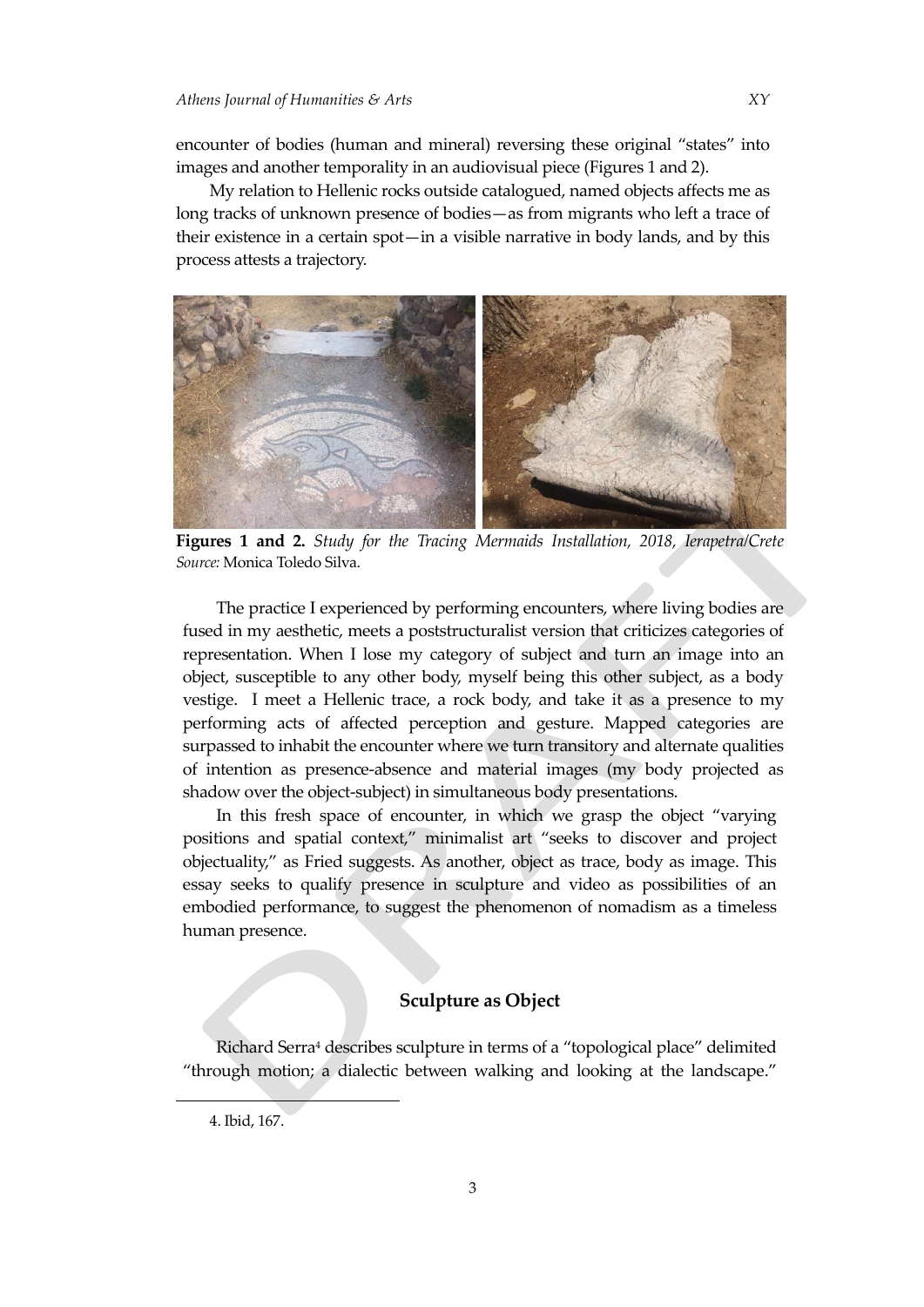encounter of bodies (human and mineral) reversing these original "states" into images and another temporality in an audiovisual piece (Figures 1 and 2).

My relation to Hellenic rocks outside catalogued, named objects affects me as long tracks of unknown presence of bodies—as from migrants who left a trace of their existence in a certain spot—in a visible narrative in body lands, and by this process attests a trajectory.



**Figures 1 and 2.** *Study for the Tracing Mermaids Installation, 2018, Ierapetra/Crete Source:* Monica Toledo Silva.

The practice I experienced by performing encounters, where living bodies are fused in my aesthetic, meets a poststructuralist version that criticizes categories of representation. When I lose my category of subject and turn an image into an object, susceptible to any other body, myself being this other subject, as a body vestige. I meet a Hellenic trace, a rock body, and take it as a presence to my performing acts of affected perception and gesture. Mapped categories are surpassed to inhabit the encounter where we turn transitory and alternate qualities of intention as presence-absence and material images (my body projected as shadow over the object-subject) in simultaneous body presentations.

In this fresh space of encounter, in which we grasp the object "varying positions and spatial context," minimalist art "seeks to discover and project objectuality," as Fried suggests. As another, object as trace, body as image. This essay seeks to qualify presence in sculpture and video as possibilities of an embodied performance, to suggest the phenomenon of nomadism as a timeless human presence.

## **Sculpture as Object**

Richard Serra<sup>4</sup> describes sculpture in terms of a "topological place" delimited "through motion; a dialectic between walking and looking at the landscape."

<sup>4.</sup> Ibid, 167.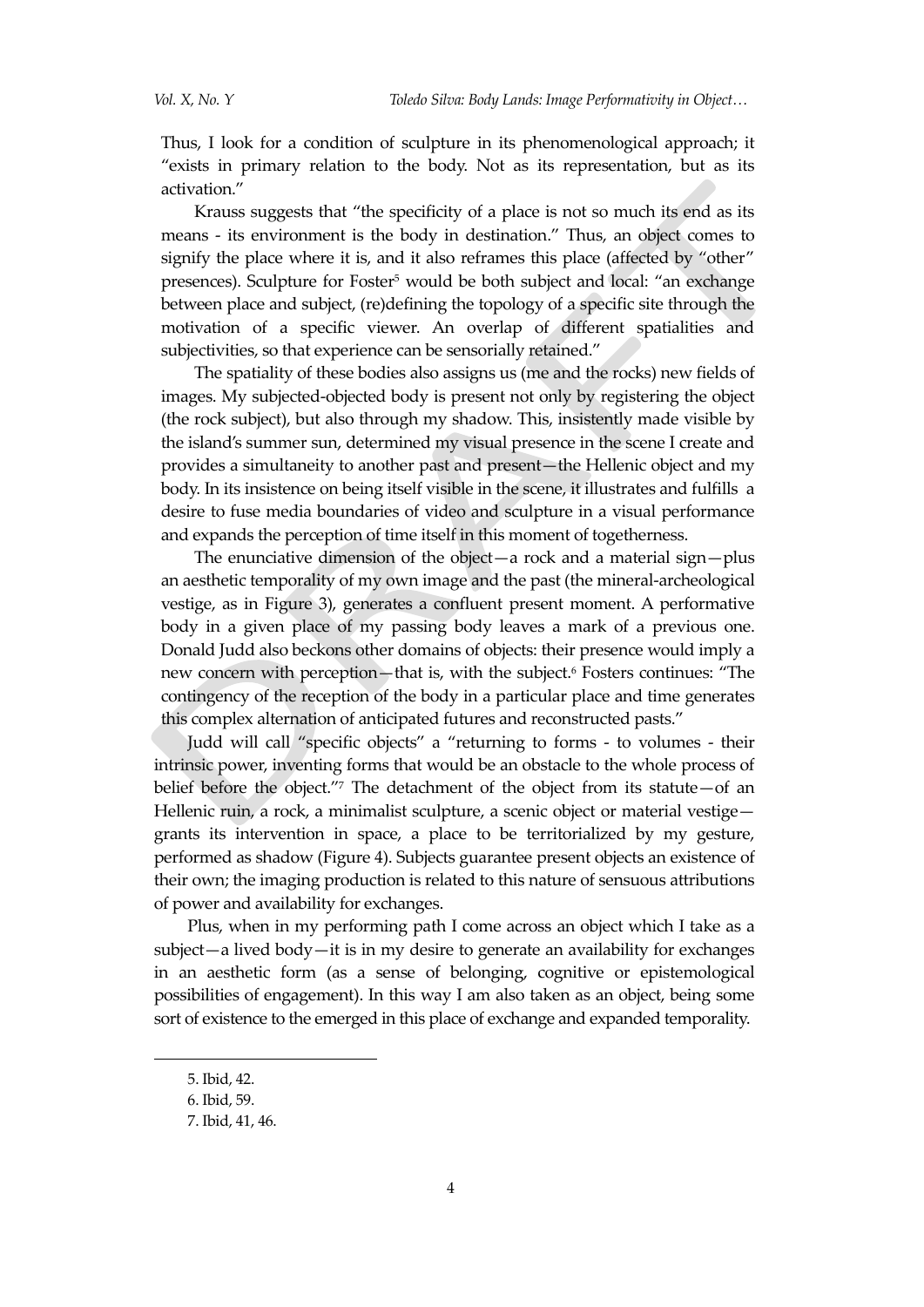Thus, I look for a condition of sculpture in its phenomenological approach; it "exists in primary relation to the body. Not as its representation, but as its activation."

Krauss suggests that "the specificity of a place is not so much its end as its means - its environment is the body in destination." Thus, an object comes to signify the place where it is, and it also reframes this place (affected by "other" presences). Sculpture for Foster <sup>5</sup> would be both subject and local: "an exchange between place and subject, (re)defining the topology of a specific site through the motivation of a specific viewer. An overlap of different spatialities and subjectivities, so that experience can be sensorially retained."

The spatiality of these bodies also assigns us (me and the rocks) new fields of images. My subjected-objected body is present not only by registering the object (the rock subject), but also through my shadow. This, insistently made visible by the island's summer sun, determined my visual presence in the scene I create and provides a simultaneity to another past and present—the Hellenic object and my body. In its insistence on being itself visible in the scene, it illustrates and fulfills a desire to fuse media boundaries of video and sculpture in a visual performance and expands the perception of time itself in this moment of togetherness.

The enunciative dimension of the object—a rock and a material sign—plus an aesthetic temporality of my own image and the past (the mineral-archeological vestige, as in Figure 3), generates a confluent present moment. A performative body in a given place of my passing body leaves a mark of a previous one. Donald Judd also beckons other domains of objects: their presence would imply a new concern with perception—that is, with the subject.<sup>6</sup> Fosters continues: "The contingency of the reception of the body in a particular place and time generates this complex alternation of anticipated futures and reconstructed pasts."

Judd will call "specific objects" a "returning to forms - to volumes - their intrinsic power, inventing forms that would be an obstacle to the whole process of belief before the object."<sup>7</sup> The detachment of the object from its statute—of an Hellenic ruin, a rock, a minimalist sculpture, a scenic object or material vestige grants its intervention in space, a place to be territorialized by my gesture, performed as shadow (Figure 4). Subjects guarantee present objects an existence of their own; the imaging production is related to this nature of sensuous attributions of power and availability for exchanges.

Plus, when in my performing path I come across an object which I take as a subject—a lived body—it is in my desire to generate an availability for exchanges in an aesthetic form (as a sense of belonging, cognitive or epistemological possibilities of engagement). In this way I am also taken as an object, being some sort of existence to the emerged in this place of exchange and expanded temporality.

<sup>5.</sup> Ibid, 42.

<sup>6.</sup> Ibid, 59.

<sup>7.</sup> Ibid, 41, 46.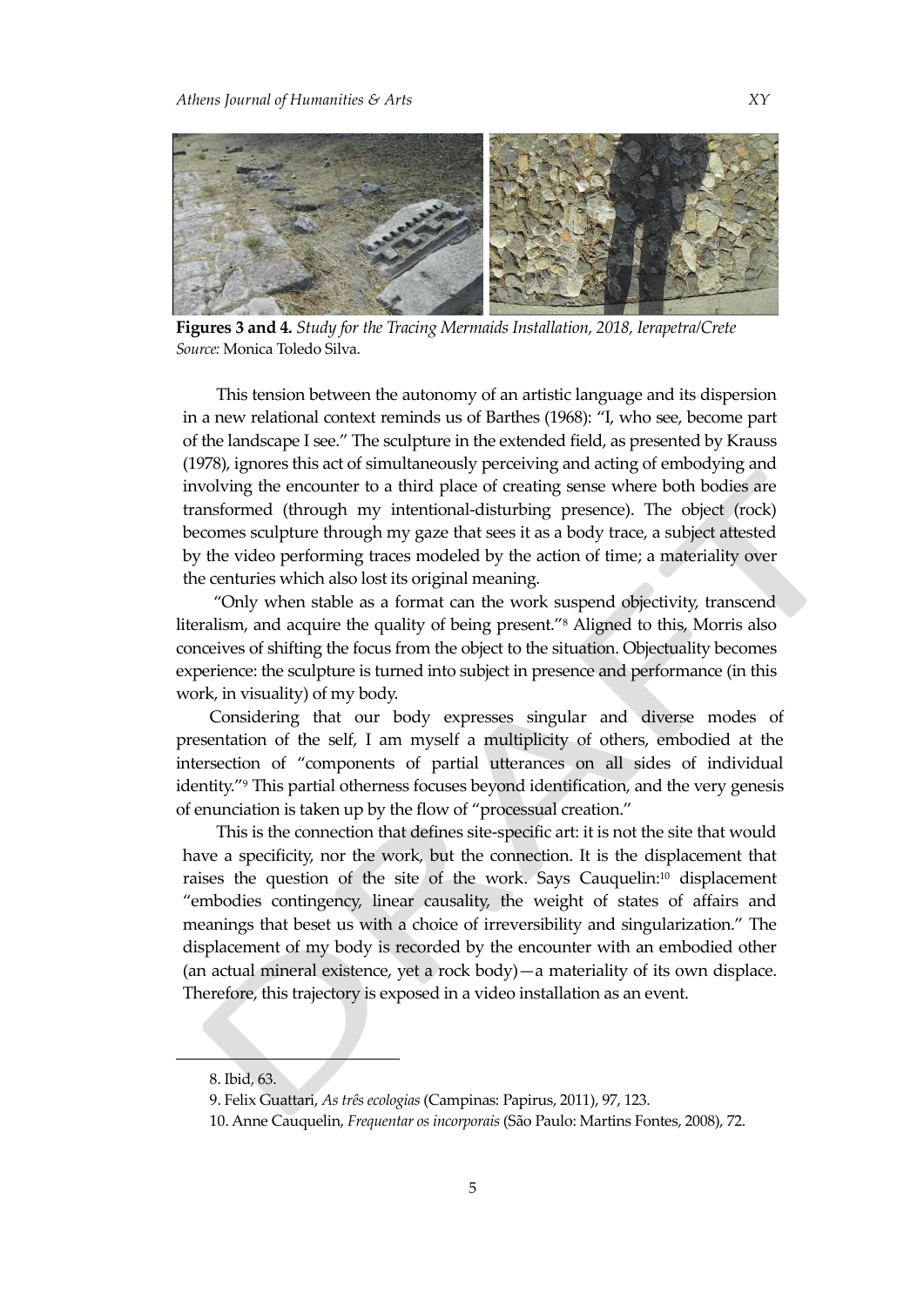

**Figures 3 and 4.** *Study for the Tracing Mermaids Installation, 2018, Ierapetra/Crete Source:* Monica Toledo Silva.

This tension between the autonomy of an artistic language and its dispersion in a new relational context reminds us of Barthes (1968): "I, who see, become part of the landscape I see." The sculpture in the extended field, as presented by Krauss (1978), ignores this act of simultaneously perceiving and acting of embodying and involving the encounter to a third place of creating sense where both bodies are transformed (through my intentional-disturbing presence). The object (rock) becomes sculpture through my gaze that sees it as a body trace, a subject attested by the video performing traces modeled by the action of time; a materiality over the centuries which also lost its original meaning.

"Only when stable as a format can the work suspend objectivity, transcend literalism, and acquire the quality of being present."<sup>8</sup> Aligned to this, Morris also conceives of shifting the focus from the object to the situation. Objectuality becomes experience: the sculpture is turned into subject in presence and performance (in this work, in visuality) of my body.

Considering that our body expresses singular and diverse modes of presentation of the self, I am myself a multiplicity of others, embodied at the intersection of "components of partial utterances on all sides of individual identity."<sup>9</sup> This partial otherness focuses beyond identification, and the very genesis of enunciation is taken up by the flow of "processual creation."

This is the connection that defines site-specific art: it is not the site that would have a specificity, nor the work, but the connection. It is the displacement that raises the question of the site of the work. Says Cauquelin: <sup>10</sup> displacement "embodies contingency, linear causality, the weight of states of affairs and meanings that beset us with a choice of irreversibility and singularization." The displacement of my body is recorded by the encounter with an embodied other (an actual mineral existence, yet a rock body)—a materiality of its own displace. Therefore, this trajectory is exposed in a video installation as an event.

<sup>8.</sup> Ibid, 63.

<sup>9.</sup> Felix Guattari, *As três ecologias* (Campinas: Papirus, 2011), 97, 123.

<sup>10.</sup> Anne Cauquelin, *Frequentar os incorporais* (São Paulo: Martins Fontes, 2008), 72.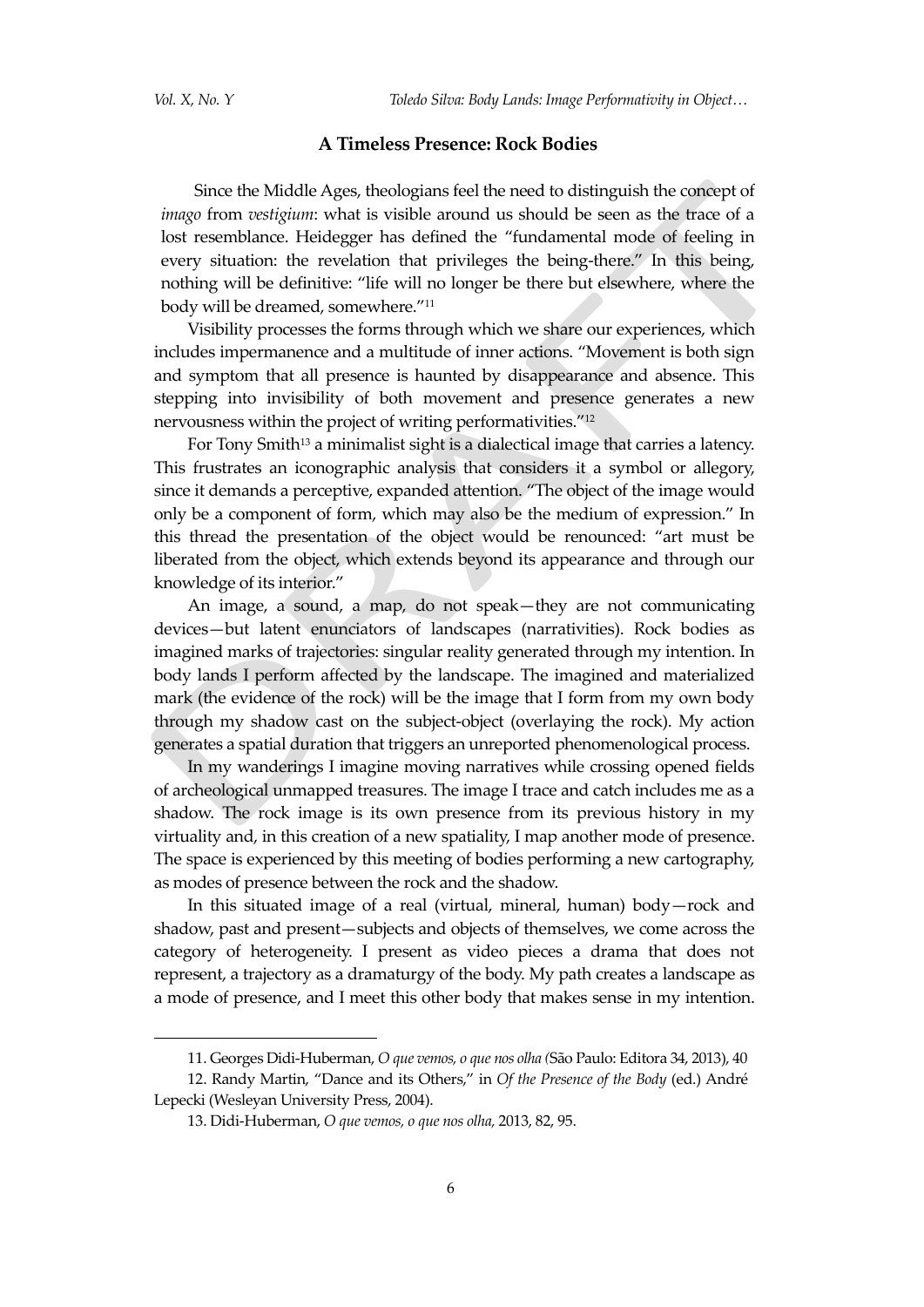$\overline{a}$ 

#### **A Timeless Presence: Rock Bodies**

Since the Middle Ages, theologians feel the need to distinguish the concept of *imago* from *vestigium*: what is visible around us should be seen as the trace of a lost resemblance. Heidegger has defined the "fundamental mode of feeling in every situation: the revelation that privileges the being-there." In this being, nothing will be definitive: "life will no longer be there but elsewhere, where the body will be dreamed, somewhere."<sup>11</sup>

Visibility processes the forms through which we share our experiences, which includes impermanence and a multitude of inner actions. "Movement is both sign and symptom that all presence is haunted by disappearance and absence. This stepping into invisibility of both movement and presence generates a new nervousness within the project of writing performativities."<sup>12</sup>

For Tony Smith<sup>13</sup> a minimalist sight is a dialectical image that carries a latency. This frustrates an iconographic analysis that considers it a symbol or allegory, since it demands a perceptive, expanded attention. "The object of the image would only be a component of form, which may also be the medium of expression." In this thread the presentation of the object would be renounced: "art must be liberated from the object, which extends beyond its appearance and through our knowledge of its interior."

An image, a sound, a map, do not speak—they are not communicating devices—but latent enunciators of landscapes (narrativities). Rock bodies as imagined marks of trajectories: singular reality generated through my intention. In body lands I perform affected by the landscape. The imagined and materialized mark (the evidence of the rock) will be the image that I form from my own body through my shadow cast on the subject-object (overlaying the rock). My action generates a spatial duration that triggers an unreported phenomenological process.

In my wanderings I imagine moving narratives while crossing opened fields of archeological unmapped treasures. The image I trace and catch includes me as a shadow. The rock image is its own presence from its previous history in my virtuality and, in this creation of a new spatiality, I map another mode of presence. The space is experienced by this meeting of bodies performing a new cartography, as modes of presence between the rock and the shadow.

In this situated image of a real (virtual, mineral, human) body—rock and shadow, past and present—subjects and objects of themselves, we come across the category of heterogeneity. I present as video pieces a drama that does not represent, a trajectory as a dramaturgy of the body. My path creates a landscape as a mode of presence, and I meet this other body that makes sense in my intention.

<sup>11.</sup> Georges Didi-Huberman, *O que vemos, o que nos olha (*São Paulo: Editora 34, 2013), 40

<sup>12.</sup> Randy Martin, "Dance and its Others," in *Of the Presence of the Body* (ed.) André Lepecki (Wesleyan University Press, 2004).

<sup>13.</sup> Didi-Huberman, *O que vemos, o que nos olha,* 2013, 82, 95.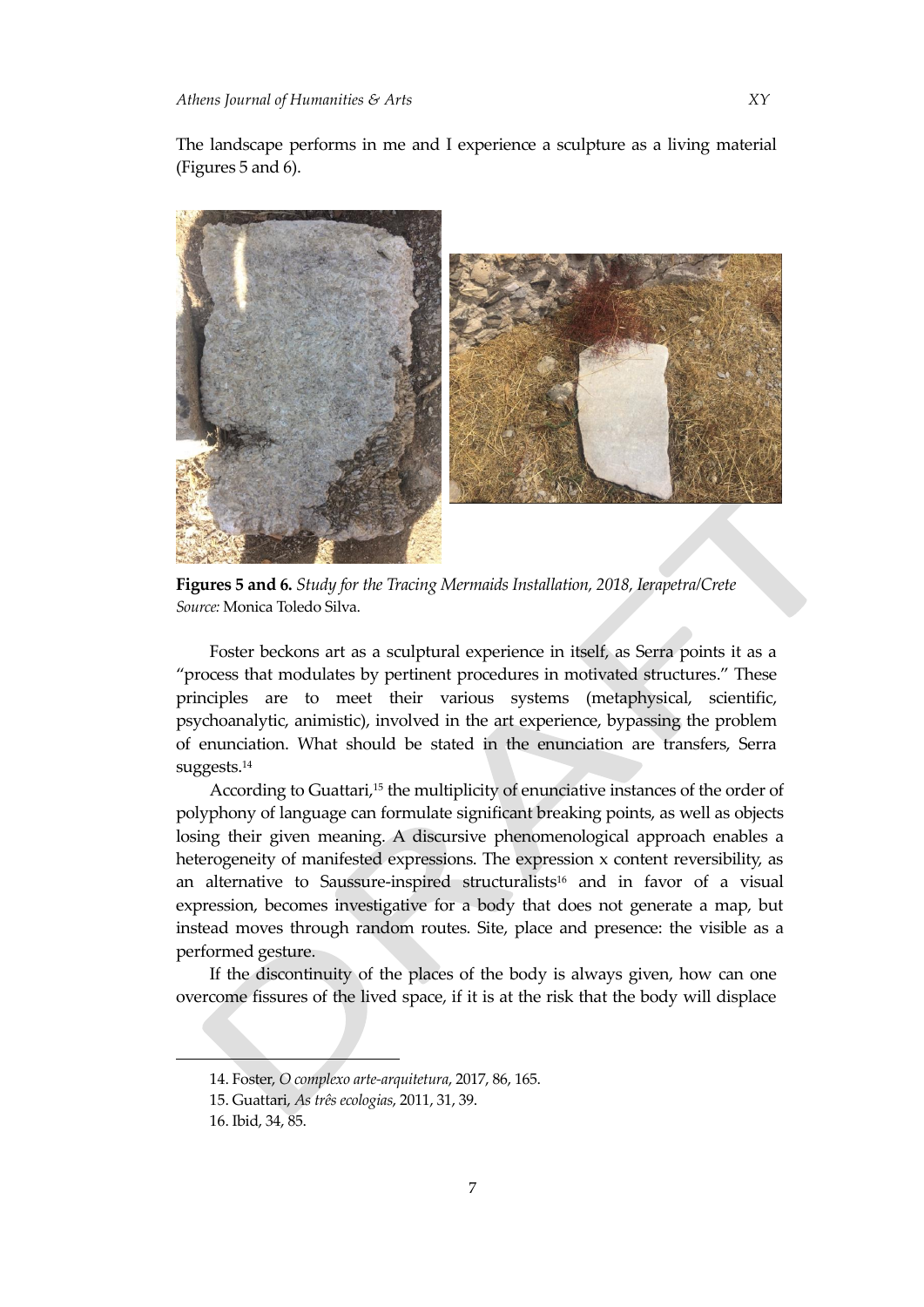The landscape performs in me and I experience a sculpture as a living material (Figures 5 and 6).



**Figures 5 and 6.** *Study for the Tracing Mermaids Installation, 2018, Ierapetra/Crete Source:* Monica Toledo Silva.

Foster beckons art as a sculptural experience in itself, as Serra points it as a "process that modulates by pertinent procedures in motivated structures." These principles are to meet their various systems (metaphysical, scientific, psychoanalytic, animistic), involved in the art experience, bypassing the problem of enunciation. What should be stated in the enunciation are transfers, Serra suggests. 14

According to Guattari, <sup>15</sup> the multiplicity of enunciative instances of the order of polyphony of language can formulate significant breaking points, as well as objects losing their given meaning. A discursive phenomenological approach enables a heterogeneity of manifested expressions. The expression x content reversibility, as an alternative to Saussure-inspired structuralists<sup>16</sup> and in favor of a visual expression, becomes investigative for a body that does not generate a map, but instead moves through random routes. Site, place and presence: the visible as a performed gesture.

If the discontinuity of the places of the body is always given, how can one overcome fissures of the lived space, if it is at the risk that the body will displace

<sup>14.</sup> Foster, *O complexo arte-arquitetura*, 2017, 86, 165.

<sup>15.</sup> Guattari, *As três ecologias*, 2011, 31, 39.

<sup>16.</sup> Ibid, 34, 85.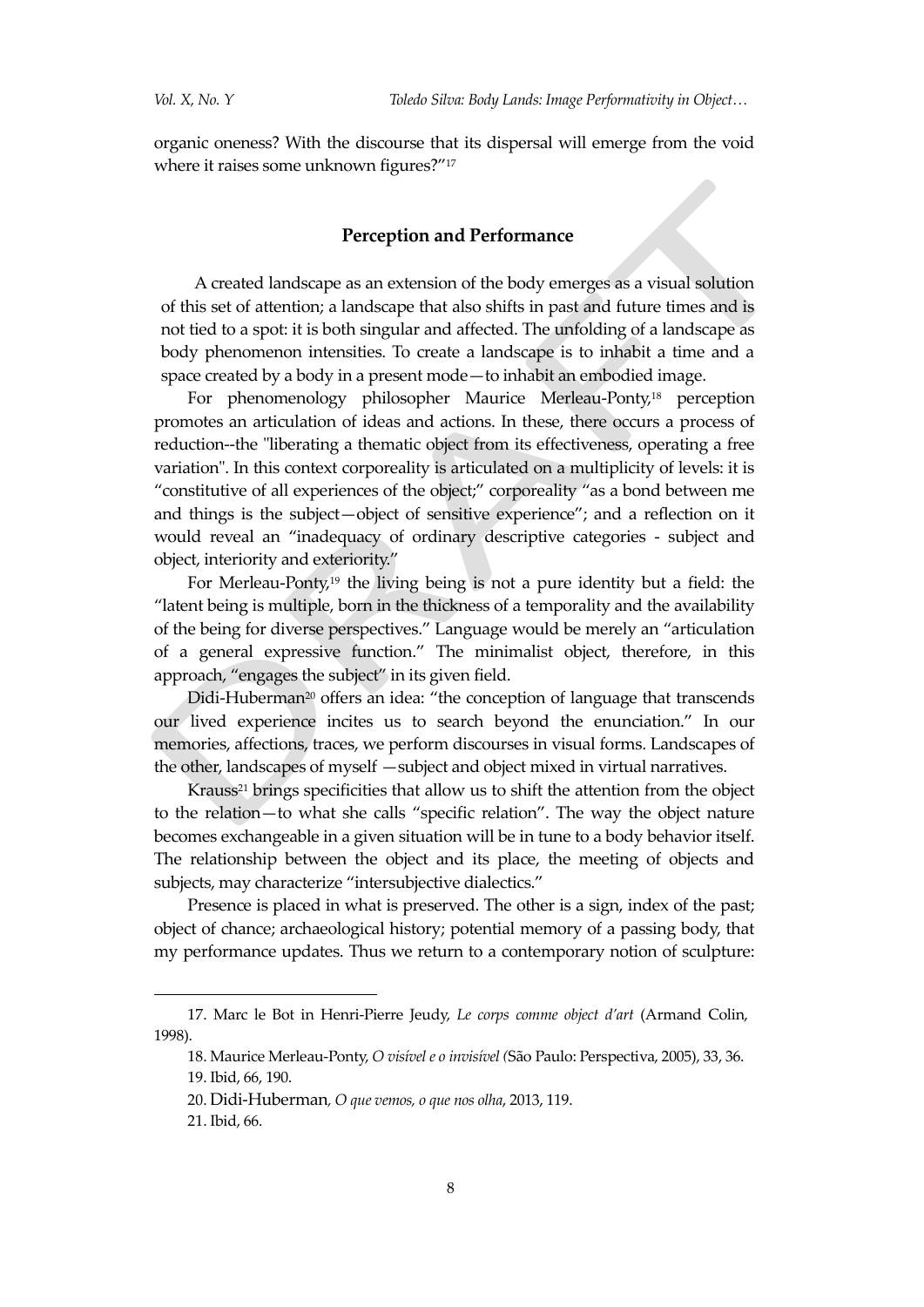organic oneness? With the discourse that its dispersal will emerge from the void where it raises some unknown figures?"<sup>17</sup>

### **Perception and Performance**

A created landscape as an extension of the body emerges as a visual solution of this set of attention; a landscape that also shifts in past and future times and is not tied to a spot: it is both singular and affected. The unfolding of a landscape as body phenomenon intensities. To create a landscape is to inhabit a time and a space created by a body in a present mode—to inhabit an embodied image.

For phenomenology philosopher Maurice Merleau-Ponty, <sup>18</sup> perception promotes an articulation of ideas and actions. In these, there occurs a process of reduction--the "liberating a thematic object from its effectiveness, operating a free variation". In this context corporeality is articulated on a multiplicity of levels: it is "constitutive of all experiences of the object;" corporeality "as a bond between me and things is the subject—object of sensitive experience"; and a reflection on it would reveal an "inadequacy of ordinary descriptive categories - subject and object, interiority and exteriority."

For Merleau-Ponty, <sup>19</sup> the living being is not a pure identity but a field: the "latent being is multiple, born in the thickness of a temporality and the availability of the being for diverse perspectives." Language would be merely an "articulation of a general expressive function." The minimalist object, therefore, in this approach, "engages the subject" in its given field.

Didi-Huberman<sup>20</sup> offers an idea: "the conception of language that transcends our lived experience incites us to search beyond the enunciation." In our memories, affections, traces, we perform discourses in visual forms. Landscapes of the other, landscapes of myself —subject and object mixed in virtual narratives.

Krauss<sup>21</sup> brings specificities that allow us to shift the attention from the object to the relation—to what she calls "specific relation". The way the object nature becomes exchangeable in a given situation will be in tune to a body behavior itself. The relationship between the object and its place, the meeting of objects and subjects, may characterize "intersubjective dialectics."

Presence is placed in what is preserved. The other is a sign, index of the past; object of chance; archaeological history; potential memory of a passing body, that my performance updates. Thus we return to a contemporary notion of sculpture:

<sup>17.</sup> Marc le Bot in Henri-Pierre Jeudy, *Le corps comme object d'art* (Armand Colin, 1998).

<sup>18.</sup> Maurice Merleau-Ponty, *O visível e o invisível (*São Paulo: Perspectiva, 2005), 33, 36. 19. Ibid, 66, 190.

<sup>20.</sup> Didi-Huberman*, O que vemos, o que nos olha*, 2013, 119.

<sup>21.</sup> Ibid, 66.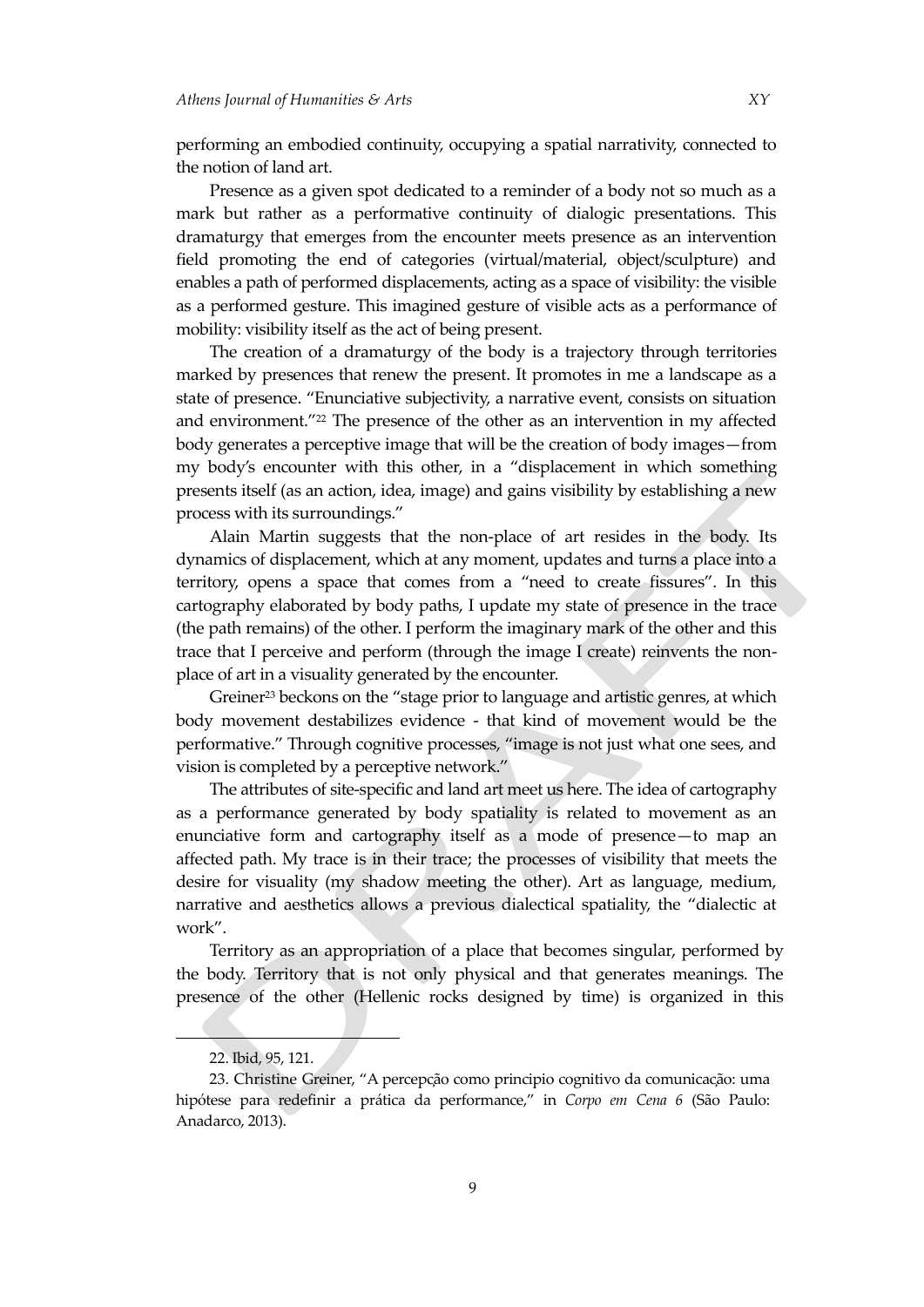performing an embodied continuity, occupying a spatial narrativity, connected to the notion of land art.

Presence as a given spot dedicated to a reminder of a body not so much as a mark but rather as a performative continuity of dialogic presentations. This dramaturgy that emerges from the encounter meets presence as an intervention field promoting the end of categories (virtual/material, object/sculpture) and enables a path of performed displacements, acting as a space of visibility: the visible as a performed gesture. This imagined gesture of visible acts as a performance of mobility: visibility itself as the act of being present.

The creation of a dramaturgy of the body is a trajectory through territories marked by presences that renew the present. It promotes in me a landscape as a state of presence. "Enunciative subjectivity, a narrative event, consists on situation and environment."<sup>22</sup> The presence of the other as an intervention in my affected body generates a perceptive image that will be the creation of body images—from my body's encounter with this other, in a "displacement in which something presents itself (as an action, idea, image) and gains visibility by establishing a new process with its surroundings."

Alain Martin suggests that the non-place of art resides in the body. Its dynamics of displacement, which at any moment, updates and turns a place into a territory, opens a space that comes from a "need to create fissures". In this cartography elaborated by body paths, I update my state of presence in the trace (the path remains) of the other. I perform the imaginary mark of the other and this trace that I perceive and perform (through the image I create) reinvents the nonplace of art in a visuality generated by the encounter.

Greiner<sup>23</sup> beckons on the "stage prior to language and artistic genres, at which body movement destabilizes evidence - that kind of movement would be the performative." Through cognitive processes, "image is not just what one sees, and vision is completed by a perceptive network."

The attributes of site-specific and land art meet us here. The idea of cartography as a performance generated by body spatiality is related to movement as an enunciative form and cartography itself as a mode of presence—to map an affected path. My trace is in their trace; the processes of visibility that meets the desire for visuality (my shadow meeting the other). Art as language, medium, narrative and aesthetics allows a previous dialectical spatiality, the "dialectic at work".

Territory as an appropriation of a place that becomes singular, performed by the body. Territory that is not only physical and that generates meanings. The presence of the other (Hellenic rocks designed by time) is organized in this

<sup>22.</sup> Ibid, 95, 121.

<sup>23.</sup> Christine Greiner, "A percepção como principio cognitivo da comunicação: uma hipótese para redefinir a prática da performance," in *Corpo em Cena 6* (São Paulo: Anadarco, 2013).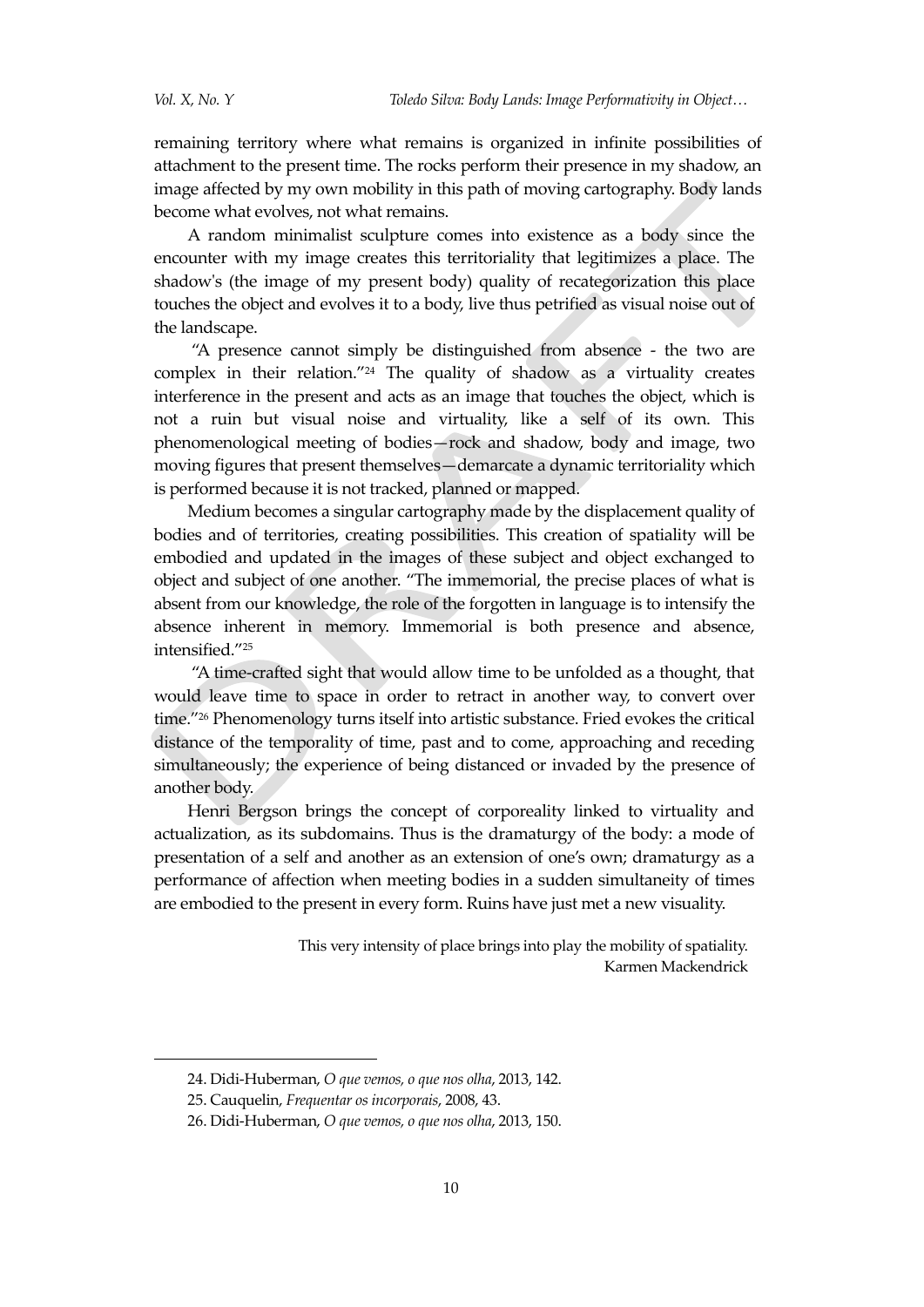remaining territory where what remains is organized in infinite possibilities of attachment to the present time. The rocks perform their presence in my shadow, an image affected by my own mobility in this path of moving cartography. Body lands become what evolves, not what remains.

A random minimalist sculpture comes into existence as a body since the encounter with my image creates this territoriality that legitimizes a place. The shadow's (the image of my present body) quality of recategorization this place touches the object and evolves it to a body, live thus petrified as visual noise out of the landscape.

"A presence cannot simply be distinguished from absence - the two are complex in their relation."<sup>24</sup> The quality of shadow as a virtuality creates interference in the present and acts as an image that touches the object, which is not a ruin but visual noise and virtuality, like a self of its own. This phenomenological meeting of bodies—rock and shadow, body and image, two moving figures that present themselves—demarcate a dynamic territoriality which is performed because it is not tracked, planned or mapped.

Medium becomes a singular cartography made by the displacement quality of bodies and of territories, creating possibilities. This creation of spatiality will be embodied and updated in the images of these subject and object exchanged to object and subject of one another. "The immemorial, the precise places of what is absent from our knowledge, the role of the forgotten in language is to intensify the absence inherent in memory. Immemorial is both presence and absence, intensified."<sup>25</sup>

"A time-crafted sight that would allow time to be unfolded as a thought, that would leave time to space in order to retract in another way, to convert over time."<sup>26</sup> Phenomenology turns itself into artistic substance. Fried evokes the critical distance of the temporality of time, past and to come, approaching and receding simultaneously; the experience of being distanced or invaded by the presence of another body.

Henri Bergson brings the concept of corporeality linked to virtuality and actualization, as its subdomains. Thus is the dramaturgy of the body: a mode of presentation of a self and another as an extension of one's own; dramaturgy as a performance of affection when meeting bodies in a sudden simultaneity of times are embodied to the present in every form. Ruins have just met a new visuality.

> This very intensity of place brings into play the mobility of spatiality. Karmen Mackendrick

<sup>24.</sup> Didi-Huberman, *O que vemos, o que nos olha*, 2013, 142.

<sup>25.</sup> Cauquelin, *Frequentar os incorporais*, 2008, 43.

<sup>26.</sup> Didi-Huberman, *O que vemos, o que nos olha*, 2013, 150.